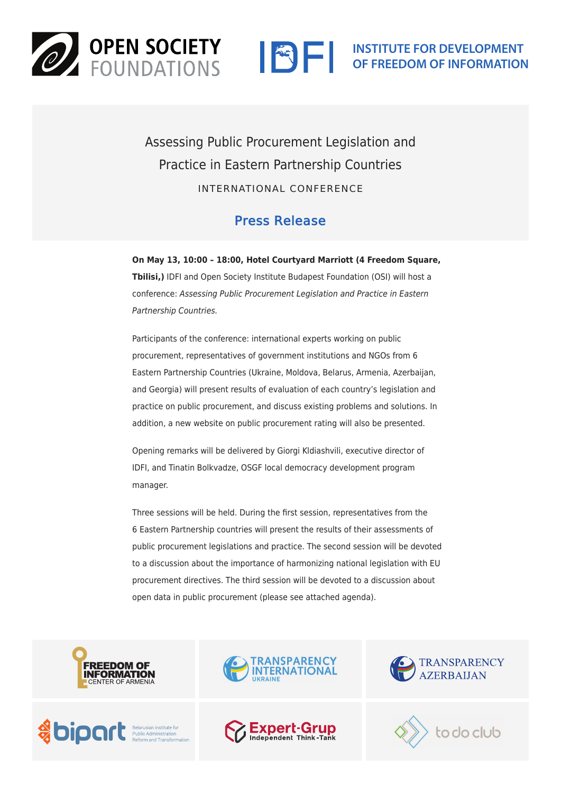



Assessing Public Procurement Legislation and Practice in Eastern Partnership Countries INTERNATIONAL CONFERENCE

## Press Release

**On May 13, 10:00 – 18:00, Hotel Courtyard Marriott (4 Freedom Square, Tbilisi,)** IDFI and Open Society Institute Budapest Foundation (OSI) will host a conference: *Assessing Public Procurement Legislation and Practice in Eastern Partnership Countries.*

Participants of the conference: international experts working on public procurement, representatives of government institutions and NGOs from 6 Eastern Partnership Countries (Ukraine, Moldova, Belarus, Armenia, Azerbaijan, and Georgia) will present results of evaluation of each country's legislation and practice on public procurement, and discuss existing problems and solutions. In addition, a new website on public procurement rating will also be presented.

Opening remarks will be delivered by Giorgi Kldiashvili, executive director of IDFI, and Tinatin Bolkvadze, OSGF local democracy development program manager.

Three sessions will be held. During the first session, representatives from the 6 Eastern Partnership countries will present the results of their assessments of public procurement legislations and practice. The second session will be devoted to a discussion about the importance of harmonizing national legislation with EU procurement directives. The third session will be devoted to a discussion about open data in public procurement (please see attached agenda).